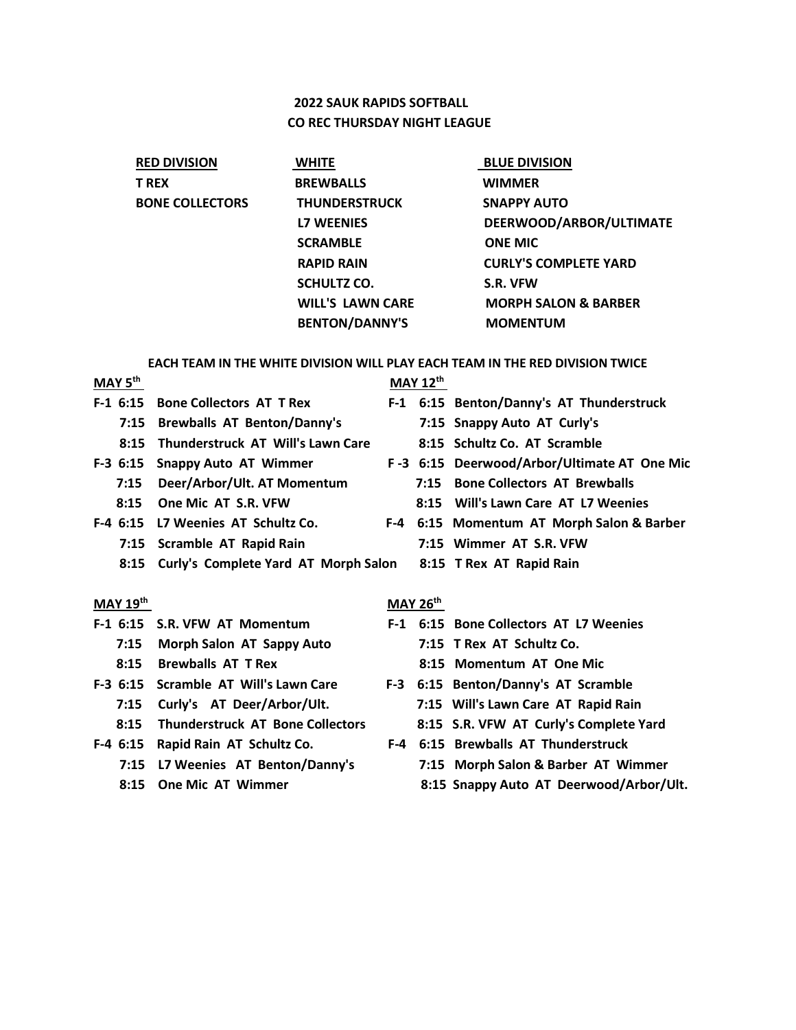# **2022 SAUK RAPIDS SOFTBALL CO REC THURSDAY NIGHT LEAGUE**

| <b>RED DIVISION</b>    | <b>WHITE</b>            | <b>BLUE DIVISION</b>            |
|------------------------|-------------------------|---------------------------------|
| <b>T REX</b>           | <b>BREWBALLS</b>        | <b>WIMMER</b>                   |
| <b>BONE COLLECTORS</b> | <b>THUNDERSTRUCK</b>    | <b>SNAPPY AUTO</b>              |
|                        | <b>L7 WEENIES</b>       | DEERWOOD/ARBOR/ULTIMATE         |
|                        | <b>SCRAMBLE</b>         | <b>ONE MIC</b>                  |
|                        | <b>RAPID RAIN</b>       | <b>CURLY'S COMPLETE YARD</b>    |
|                        | <b>SCHULTZ CO.</b>      | S.R. VFW                        |
|                        | <b>WILL'S LAWN CARE</b> | <b>MORPH SALON &amp; BARBER</b> |
|                        | <b>BENTON/DANNY'S</b>   | <b>MOMENTUM</b>                 |

# **EACH TEAM IN THE WHITE DIVISION WILL PLAY EACH TEAM IN THE RED DIVISION TWICE**<br>MAN 12<sup>th</sup>

| MAY 5 <sup>th</sup> |                                                                       |                                          | $MAY$ 12 <sup>th</sup> |      |                                             |  |  |  |
|---------------------|-----------------------------------------------------------------------|------------------------------------------|------------------------|------|---------------------------------------------|--|--|--|
|                     | $F-1$ 6:15                                                            | <b>Bone Collectors AT T Rex</b>          |                        |      | F-1 6:15 Benton/Danny's AT Thunderstruck    |  |  |  |
|                     | 7:15                                                                  | <b>Brewballs AT Benton/Danny's</b>       |                        |      | 7:15 Snappy Auto AT Curly's                 |  |  |  |
|                     | 8:15                                                                  | <b>Thunderstruck AT Will's Lawn Care</b> |                        |      | 8:15 Schultz Co. AT Scramble                |  |  |  |
|                     | $F-3$ 6:15                                                            | <b>Snappy Auto AT Wimmer</b>             |                        |      | F-3 6:15 Deerwood/Arbor/Ultimate AT One Mic |  |  |  |
|                     | 7:15                                                                  | Deer/Arbor/Ult. AT Momentum              |                        | 7:15 | <b>Bone Collectors AT Brewballs</b>         |  |  |  |
|                     | 8:15                                                                  | One Mic AT S.R. VFW                      |                        | 8:15 | Will's Lawn Care AT L7 Weenies              |  |  |  |
|                     | $F-4$ 6:15                                                            | L7 Weenies AT Schultz Co.                |                        |      | F-4 6:15 Momentum AT Morph Salon & Barber   |  |  |  |
|                     | 7:15                                                                  | Scramble AT Rapid Rain                   |                        |      | 7:15 Wimmer AT S.R. VFW                     |  |  |  |
|                     | Curly's Complete Yard AT Morph Salon 8:15 T Rex AT Rapid Rain<br>8:15 |                                          |                        |      |                                             |  |  |  |
|                     |                                                                       |                                          |                        |      |                                             |  |  |  |
| <b>MAY 19th</b>     |                                                                       |                                          | <b>MAY 26th</b>        |      |                                             |  |  |  |
|                     |                                                                       | F-1 6:15 S.R. VFW AT Momentum            |                        |      | F-1 6:15 Bone Collectors AT L7 Weenies      |  |  |  |
|                     | 7:15                                                                  | Morph Salon AT Sappy Auto                |                        |      | 7:15 T Rex AT Schultz Co.                   |  |  |  |
|                     | 8:15                                                                  | <b>Brewballs AT T Rex</b>                |                        |      | 8:15 Momentum AT One Mic                    |  |  |  |
|                     | $F-3$ 6:15                                                            | Scramble AT Will's Lawn Care             |                        |      | F-3 6:15 Benton/Danny's AT Scramble         |  |  |  |
|                     | 7:15                                                                  | Curly's AT Deer/Arbor/Ult.               |                        |      | 7:15 Will's Lawn Care AT Rapid Rain         |  |  |  |
|                     | 8:15                                                                  | <b>Thunderstruck AT Bone Collectors</b>  |                        |      | 8:15 S.R. VFW AT Curly's Complete Yard      |  |  |  |
|                     | $F-4$ 6:15                                                            | Rapid Rain AT Schultz Co.                | F-4                    |      | 6:15 Brewballs AT Thunderstruck             |  |  |  |
|                     | 7:15                                                                  | L7 Weenies AT Benton/Danny's             |                        |      | 7:15 Morph Salon & Barber AT Wimmer         |  |  |  |
|                     | 8:15                                                                  | <b>One Mic AT Wimmer</b>                 |                        |      | 8:15 Snappy Auto AT Deerwood/Arbor/Ult.     |  |  |  |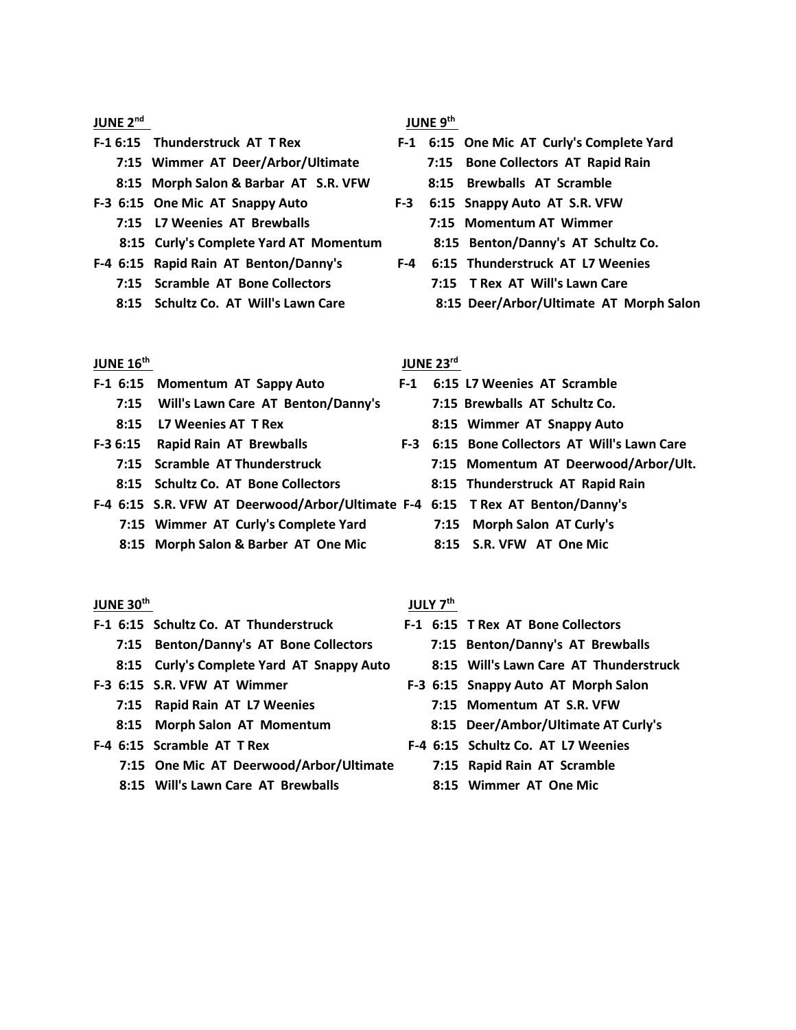### **JUNE 2nd**

- -
	- **8:15 Morph Salon & Barbar AT S.R. VFW 8:15 Brewballs AT Scramble**
- - **7:15 L7 Weenies AT Brewballs 7:15 Momentum AT Wimmer**
	- **8:15 Curly's Complete Yard AT Momentum 8:15 Benton/Danny's AT Schultz Co.**
- **F-4 6:15 Rapid Rain AT Benton/Danny's F-4 6:15 Thunderstruck AT L7 Weenies**
	-
	-

#### **JUNE 16th**

- **F-1 6:15 Momentum AT Sappy Auto F-1 6:15 L7 Weenies AT Scramble 7:15 Will's Lawn Care AT Benton/Danny's 7:15 Brewballs AT Schultz Co. 8:15 L7 Weenies AT T Rex 8:15 Wimmer AT Snappy Auto F-3 6:15 Rapid Rain AT Brewballs F-3 6:15 Bone Collectors AT Will's Lawn Care 8:15 Schultz Co. AT Bone Collectors 8:15 Thunderstruck AT Rapid Rain**
- **F-4 6:15 S.R. VFW AT Deerwood/Arbor/Ultimate F-4 6:15 T Rex AT Benton/Danny's 7:15 Wimmer AT Curly's Complete Yard 7:15 Morph Salon AT Curly's** 
	- **8:15 Morph Salon & Barber AT One Mic 8:15 S.R. VFW AT One Mic**

#### **JUNE 30th**

- **F-1 6:15 Schultz Co. AT Thunderstruck F-1 6:15 T Rex AT Bone Collectors**
	- **7:15 Benton/Danny's AT Bone Collectors 7:15 Benton/Danny's AT Brewballs**
	- **8:15 Curly's Complete Yard AT Snappy Auto 8:15 Will's Lawn Care AT Thunderstruck**
- - **7:15 Rapid Rain AT L7 Weenies 7:15 Momentum AT S.R. VFW**
	-
- - **7:15 One Mic AT Deerwood/Arbor/Ultimate 7:15 Rapid Rain AT Scramble**
	- **8:15 Will's Lawn Care AT Brewballs 8:15 Wimmer AT One Mic**

 **JUNE 9th**

- **F-1 6:15 Thunderstruck AT T Rex F-1 6:15 One Mic AT Curly's Complete Yard 7:15 Wimmer AT Deer/Arbor/Ultimate 7:15 Bone Collectors AT Rapid Rain**
	-
- **F-3 6:15 One Mic AT Snappy Auto F-3 6:15 Snappy Auto AT S.R. VFW** 
	-
	-
	- **7:15 Scramble AT Bone Collectors 7:15 T Rex AT Will's Lawn Care**
	- **8:15 Schultz Co. AT Will's Lawn Care 8:15 Deer/Arbor/Ultimate AT Morph Salon**

#### **JUNE 23rd**

- -
	-
- **7:15 Scramble AT Thunderstruck 7:15 Momentum AT Deerwood/Arbor/Ult.** 
	-
	-
	-
	-

#### **JULY 7th**

- -
	-
- **F-3 6:15 S.R. VFW AT Wimmer F-3 6:15 Snappy Auto AT Morph Salon**
	-
	- **8:15 Morph Salon AT Momentum 8:15 Deer/Ambor/Ultimate AT Curly's**
- **F-4 6:15 Scramble AT T Rex F-4 6:15 Schultz Co. AT L7 Weenies**
	-
	-